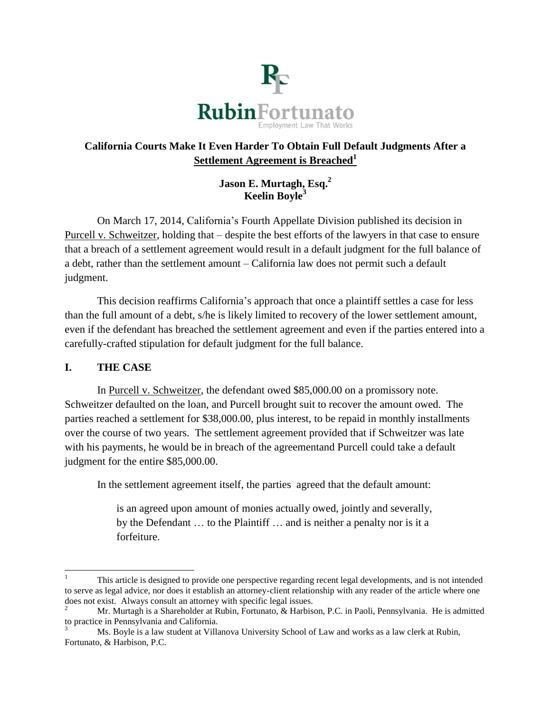

# **California Courts Make It Even Harder To Obtain Full Default Judgments After a Settlement Agreement is Breached<sup>1</sup>**

**Jason E. Murtagh, Esq.<sup>2</sup> Keelin Boyle<sup>3</sup>**

On March 17, 2014, California's Fourth Appellate Division published its decision in Purcell v. Schweitzer, holding that – despite the best efforts of the lawyers in that case to ensure that a breach of a settlement agreement would result in a default judgment for the full balance of a debt, rather than the settlement amount – California law does not permit such a default judgment.

This decision reaffirms California's approach that once a plaintiff settles a case for less than the full amount of a debt, s/he is likely limited to recovery of the lower settlement amount, even if the defendant has breached the settlement agreement and even if the parties entered into a carefully-crafted stipulation for default judgment for the full balance.

## **I. THE CASE**

In Purcell v. Schweitzer, the defendant owed \$85,000.00 on a promissory note. Schweitzer defaulted on the loan, and Purcell brought suit to recover the amount owed. The parties reached a settlement for \$38,000.00, plus interest, to be repaid in monthly installments over the course of two years. The settlement agreement provided that if Schweitzer was late with his payments, he would be in breach of the agreementand Purcell could take a default judgment for the entire \$85,000.00.

In the settlement agreement itself, the parties agreed that the default amount:

is an agreed upon amount of monies actually owed, jointly and severally, by the Defendant … to the Plaintiff … and is neither a penalty nor is it a forfeiture.

l <sup>1</sup> This article is designed to provide one perspective regarding recent legal developments, and is not intended to serve as legal advice, nor does it establish an attorney-client relationship with any reader of the article where one does not exist. Always consult an attorney with specific legal issues.

<sup>2</sup> Mr. Murtagh is a Shareholder at Rubin, Fortunato, & Harbison, P.C. in Paoli, Pennsylvania. He is admitted to practice in Pennsylvania and California.

<sup>3</sup> Ms. Boyle is a law student at Villanova University School of Law and works as a law clerk at Rubin, Fortunato, & Harbison, P.C.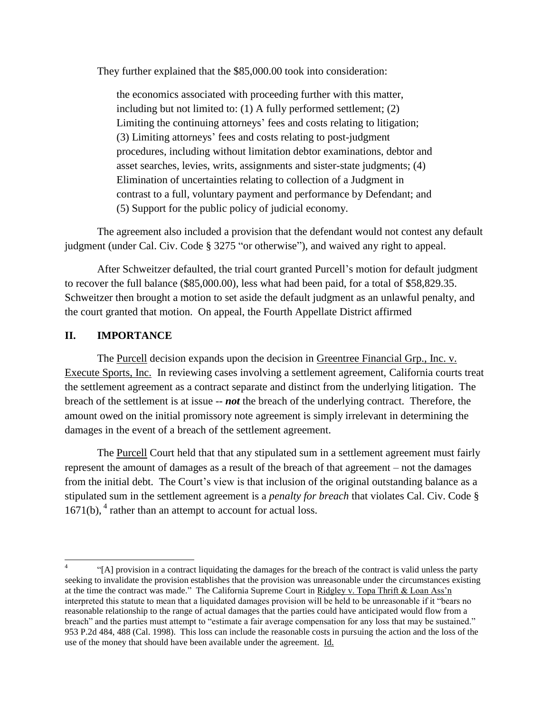They further explained that the \$85,000.00 took into consideration:

the economics associated with proceeding further with this matter, including but not limited to: (1) A fully performed settlement; (2) Limiting the continuing attorneys' fees and costs relating to litigation; (3) Limiting attorneys' fees and costs relating to post-judgment procedures, including without limitation debtor examinations, debtor and asset searches, levies, writs, assignments and sister-state judgments; (4) Elimination of uncertainties relating to collection of a Judgment in contrast to a full, voluntary payment and performance by Defendant; and (5) Support for the public policy of judicial economy.

The agreement also included a provision that the defendant would not contest any default judgment (under Cal. Civ. Code § 3275 "or otherwise"), and waived any right to appeal.

After Schweitzer defaulted, the trial court granted Purcell's motion for default judgment to recover the full balance (\$85,000.00), less what had been paid, for a total of \$58,829.35. Schweitzer then brought a motion to set aside the default judgment as an unlawful penalty, and the court granted that motion. On appeal, the Fourth Appellate District affirmed

#### **II. IMPORTANCE**

l

The Purcell decision expands upon the decision in Greentree Financial Grp., Inc. v. Execute Sports, Inc. In reviewing cases involving a settlement agreement, California courts treat the settlement agreement as a contract separate and distinct from the underlying litigation. The breach of the settlement is at issue -- *not* the breach of the underlying contract. Therefore, the amount owed on the initial promissory note agreement is simply irrelevant in determining the damages in the event of a breach of the settlement agreement.

The Purcell Court held that that any stipulated sum in a settlement agreement must fairly represent the amount of damages as a result of the breach of that agreement – not the damages from the initial debt. The Court's view is that inclusion of the original outstanding balance as a stipulated sum in the settlement agreement is a *penalty for breach* that violates Cal. Civ. Code §  $1671(b)$ ,  $4$  rather than an attempt to account for actual loss.

<sup>4</sup> "[A] provision in a contract liquidating the damages for the breach of the contract is valid unless the party seeking to invalidate the provision establishes that the provision was unreasonable under the circumstances existing at the time the contract was made." The California Supreme Court in Ridgley v. Topa Thrift & Loan Ass'n interpreted this statute to mean that a liquidated damages provision will be held to be unreasonable if it "bears no reasonable relationship to the range of actual damages that the parties could have anticipated would flow from a breach" and the parties must attempt to "estimate a fair average compensation for any loss that may be sustained." 953 P.2d 484, 488 (Cal. 1998). This loss can include the reasonable costs in pursuing the action and the loss of the use of the money that should have been available under the agreement. Id.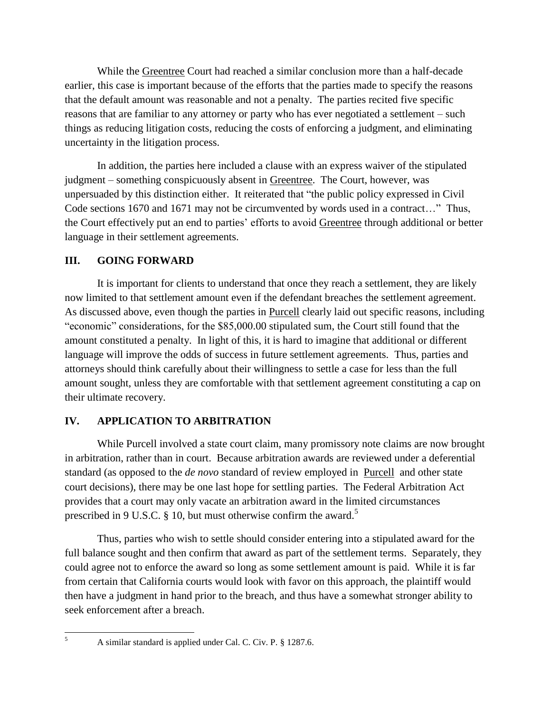While the Greentree Court had reached a similar conclusion more than a half-decade earlier, this case is important because of the efforts that the parties made to specify the reasons that the default amount was reasonable and not a penalty. The parties recited five specific reasons that are familiar to any attorney or party who has ever negotiated a settlement – such things as reducing litigation costs, reducing the costs of enforcing a judgment, and eliminating uncertainty in the litigation process.

In addition, the parties here included a clause with an express waiver of the stipulated judgment – something conspicuously absent in Greentree. The Court, however, was unpersuaded by this distinction either. It reiterated that "the public policy expressed in Civil Code sections 1670 and 1671 may not be circumvented by words used in a contract…" Thus, the Court effectively put an end to parties' efforts to avoid Greentree through additional or better language in their settlement agreements.

### **III. GOING FORWARD**

It is important for clients to understand that once they reach a settlement, they are likely now limited to that settlement amount even if the defendant breaches the settlement agreement. As discussed above, even though the parties in Purcell clearly laid out specific reasons, including "economic" considerations, for the \$85,000.00 stipulated sum, the Court still found that the amount constituted a penalty. In light of this, it is hard to imagine that additional or different language will improve the odds of success in future settlement agreements. Thus, parties and attorneys should think carefully about their willingness to settle a case for less than the full amount sought, unless they are comfortable with that settlement agreement constituting a cap on their ultimate recovery.

## **IV. APPLICATION TO ARBITRATION**

While Purcell involved a state court claim, many promissory note claims are now brought in arbitration, rather than in court. Because arbitration awards are reviewed under a deferential standard (as opposed to the *de novo* standard of review employed in Purcell and other state court decisions), there may be one last hope for settling parties. The Federal Arbitration Act provides that a court may only vacate an arbitration award in the limited circumstances prescribed in 9 U.S.C. § 10, but must otherwise confirm the award.<sup>5</sup>

Thus, parties who wish to settle should consider entering into a stipulated award for the full balance sought and then confirm that award as part of the settlement terms. Separately, they could agree not to enforce the award so long as some settlement amount is paid. While it is far from certain that California courts would look with favor on this approach, the plaintiff would then have a judgment in hand prior to the breach, and thus have a somewhat stronger ability to seek enforcement after a breach.

 $\mathfrak{s}$ 

<sup>5</sup> A similar standard is applied under Cal. C. Civ. P. § 1287.6.